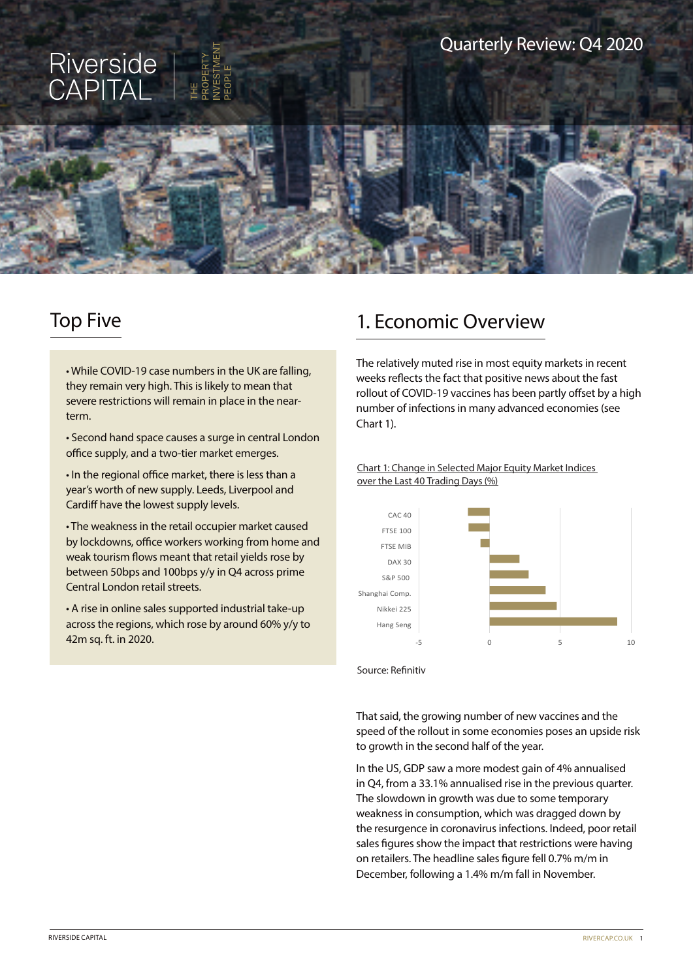

# Top Five

• While COVID-19 case numbers in the UK are falling, they remain very high. This is likely to mean that severe restrictions will remain in place in the nearterm.

• Second hand space causes a surge in central London office supply, and a two-tier market emerges.

• In the regional office market, there is less than a year's worth of new supply. Leeds, Liverpool and Cardiff have the lowest supply levels.

• The weakness in the retail occupier market caused by lockdowns, office workers working from home and weak tourism flows meant that retail yields rose by between 50bps and 100bps y/y in Q4 across prime Central London retail streets.

• A rise in online sales supported industrial take-up across the regions, which rose by around 60% y/y to

## 1. Economic Overview

The relatively muted rise in most equity markets in recent weeks reflects the fact that positive news about the fast rollout of COVID-19 vaccines has been partly offset by a high number of infections in many advanced economies (see Chart 1).

Chart 1: Change in Selected Major Equity Market Indices over the Last 40 Trading Days (%)



Source: Refinitiv

That said, the growing number of new vaccines and the speed of the rollout in some economies poses an upside risk to growth in the second half of the year.

In the US, GDP saw a more modest gain of 4% annualised in Q4, from a 33.1% annualised rise in the previous quarter. The slowdown in growth was due to some temporary weakness in consumption, which was dragged down by the resurgence in coronavirus infections. Indeed, poor retail sales figures show the impact that restrictions were having on retailers. The headline sales figure fell 0.7% m/m in December, following a 1.4% m/m fall in November.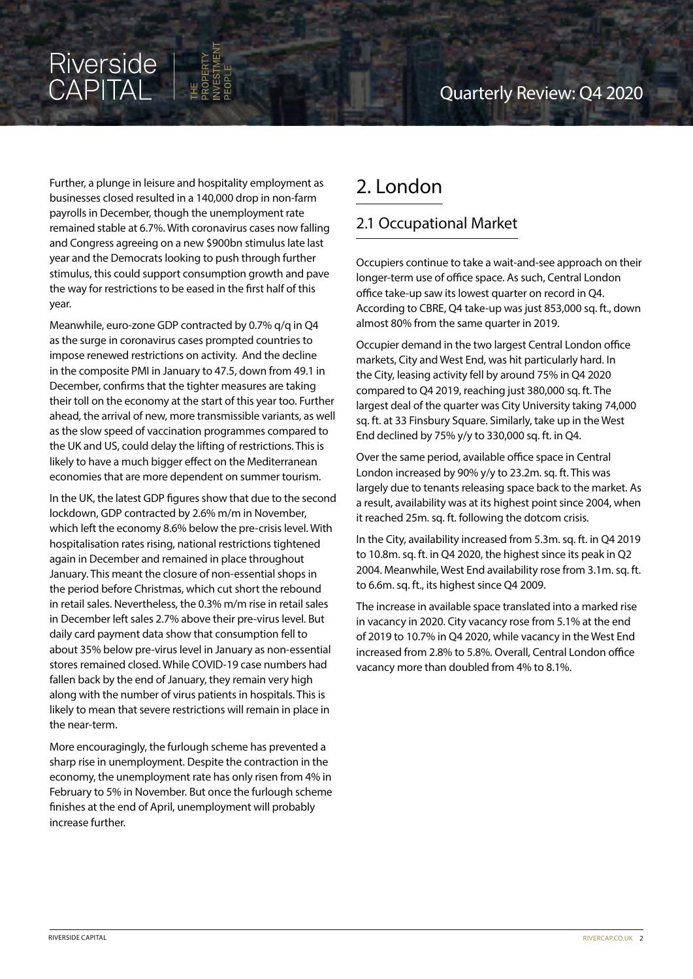# Riverside<br>CAPITAL

Further, a plunge in leisure and hospitality employment as businesses closed resulted in a 140,000 drop in non-farm payrolls in December, though the unemployment rate remained stable at 6.7%. With coronavirus cases now falling and Congress agreeing on a new \$900bn stimulus late last year and the Democrats looking to push through further stimulus, this could support consumption growth and pave the way for restrictions to be eased in the first half of this year.

Meanwhile, euro-zone GDP contracted by 0.7% q/q in Q4 as the surge in coronavirus cases prompted countries to impose renewed restrictions on activity. And the decline in the composite PMI in January to 47.5, down from 49.1 in December, confirms that the tighter measures are taking their toll on the economy at the start of this year too. Further ahead, the arrival of new, more transmissible variants, as well as the slow speed of vaccination programmes compared to the UK and US, could delay the lifting of restrictions. This is likely to have a much bigger effect on the Mediterranean economies that are more dependent on summer tourism.

In the UK, the latest GDP figures show that due to the second lockdown, GDP contracted by 2.6% m/m in November, which left the economy 8.6% below the pre-crisis level. With hospitalisation rates rising, national restrictions tightened again in December and remained in place throughout January. This meant the closure of non-essential shops in the period before Christmas, which cut short the rebound in retail sales. Nevertheless, the 0.3% m/m rise in retail sales in December left sales 2.7% above their pre-virus level. But daily card payment data show that consumption fell to about 35% below pre-virus level in January as non-essential stores remained closed. While COVID-19 case numbers had fallen back by the end of January, they remain very high along with the number of virus patients in hospitals. This is likely to mean that severe restrictions will remain in place in the near-term.

More encouragingly, the furlough scheme has prevented a sharp rise in unemployment. Despite the contraction in the economy, the unemployment rate has only risen from 4% in February to 5% in November. But once the furlough scheme finishes at the end of April, unemployment will probably increase further.

# 2. London

### 2.1 Occupational Market

Occupiers continue to take a wait-and-see approach on their longer-term use of office space. As such, Central London office take-up saw its lowest quarter on record in Q4. According to CBRE, Q4 take-up was just 853,000 sq. ft., down almost 80% from the same quarter in 2019.

Occupier demand in the two largest Central London office markets, City and West End, was hit particularly hard. In the City, leasing activity fell by around 75% in Q4 2020 compared to Q4 2019, reaching just 380,000 sq. ft. The largest deal of the quarter was City University taking 74,000 sq. ft. at 33 Finsbury Square. Similarly, take up in the West End declined by 75% y/y to 330,000 sq. ft. in Q4.

Over the same period, available office space in Central London increased by 90% y/y to 23.2m. sq. ft. This was largely due to tenants releasing space back to the market. As a result, availability was at its highest point since 2004, when it reached 25m. sq. ft. following the dotcom crisis.

In the City, availability increased from 5.3m. sq. ft. in Q4 2019 to 10.8m. sq. ft. in Q4 2020, the highest since its peak in Q2 2004. Meanwhile, West End availability rose from 3.1m. sq. ft. to 6.6m. sq. ft., its highest since Q4 2009.

The increase in available space translated into a marked rise in vacancy in 2020. City vacancy rose from 5.1% at the end of 2019 to 10.7% in Q4 2020, while vacancy in the West End increased from 2.8% to 5.8%. Overall, Central London office vacancy more than doubled from 4% to 8.1%.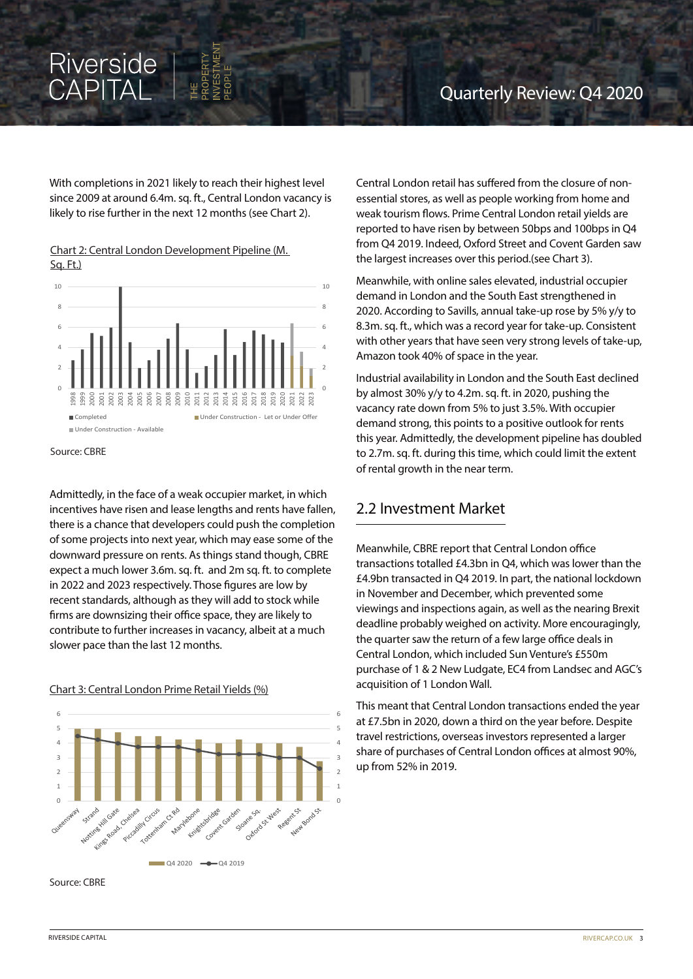# Riverside<br>CAPITAL

With completions in 2021 likely to reach their highest level since 2009 at around 6.4m. sq. ft., Central London vacancy is likely to rise further in the next 12 months (see Chart 2).

Chart 2: Central London Development Pipeline (M. Sq. Ft.)



Source: CBRE

Admittedly, in the face of a weak occupier market, in which incentives have risen and lease lengths and rents have fallen, there is a chance that developers could push the completion of some projects into next year, which may ease some of the downward pressure on rents. As things stand though, CBRE expect a much lower 3.6m. sq. ft. and 2m sq. ft. to complete in 2022 and 2023 respectively. Those figures are low by recent standards, although as they will add to stock while firms are downsizing their office space, they are likely to contribute to further increases in vacancy, albeit at a much slower pace than the last 12 months.

Chart 3: Central London Prime Retail Yields (%)



Source: CBRE

Central London retail has suffered from the closure of nonessential stores, as well as people working from home and weak tourism flows. Prime Central London retail yields are reported to have risen by between 50bps and 100bps in Q4 from Q4 2019. Indeed, Oxford Street and Covent Garden saw the largest increases over this period.(see Chart 3).

Meanwhile, with online sales elevated, industrial occupier demand in London and the South East strengthened in 2020. According to Savills, annual take-up rose by 5% y/y to 8.3m. sq. ft., which was a record year for take-up. Consistent with other years that have seen very strong levels of take-up, Amazon took 40% of space in the year.

Industrial availability in London and the South East declined by almost 30% y/y to 4.2m. sq. ft. in 2020, pushing the vacancy rate down from 5% to just 3.5%. With occupier demand strong, this points to a positive outlook for rents this year. Admittedly, the development pipeline has doubled to 2.7m. sq. ft. during this time, which could limit the extent of rental growth in the near term.

#### 2.2 Investment Market

Meanwhile, CBRE report that Central London office transactions totalled £4.3bn in Q4, which was lower than the £4.9bn transacted in Q4 2019. In part, the national lockdown in November and December, which prevented some viewings and inspections again, as well as the nearing Brexit deadline probably weighed on activity. More encouragingly, the quarter saw the return of a few large office deals in Central London, which included Sun Venture's £550m purchase of 1 & 2 New Ludgate, EC4 from Landsec and AGC's acquisition of 1 London Wall.

This meant that Central London transactions ended the year at £7.5bn in 2020, down a third on the year before. Despite travel restrictions, overseas investors represented a larger share of purchases of Central London offices at almost 90%, up from 52% in 2019.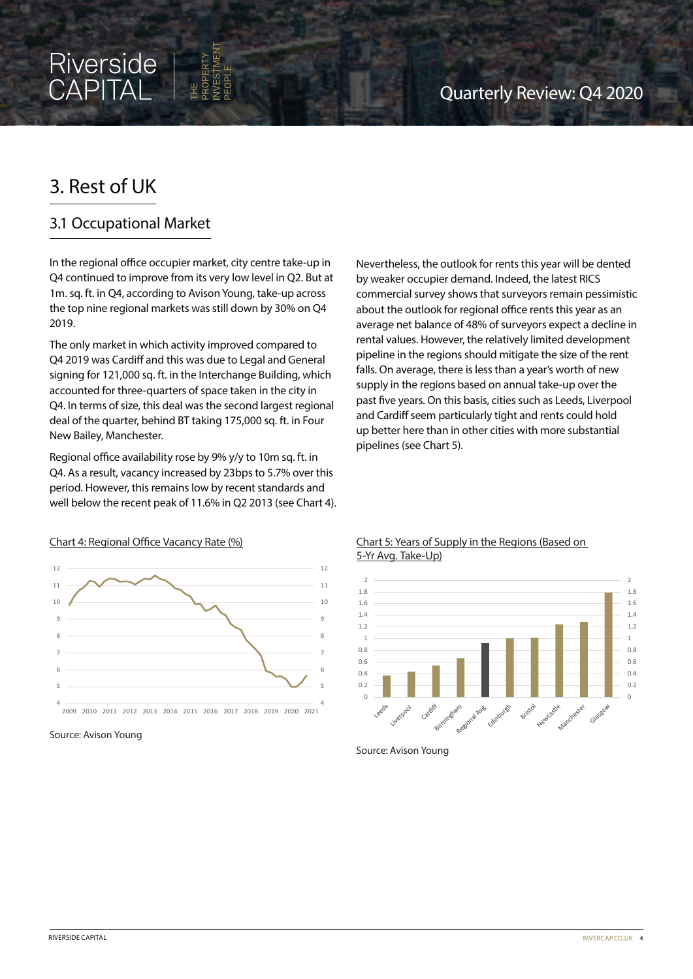## 3. Rest of UK

#### 3.1 Occupational Market

In the regional office occupier market, city centre take-up in Q4 continued to improve from its very low level in Q2. But at 1m. sq. ft. in Q4, according to Avison Young, take-up across the top nine regional markets was still down by 30% on Q4 2019.

The only market in which activity improved compared to Q4 2019 was Cardiff and this was due to Legal and General signing for 121,000 sq. ft. in the Interchange Building, which accounted for three-quarters of space taken in the city in Q4. In terms of size, this deal was the second largest regional deal of the quarter, behind BT taking 175,000 sq. ft. in Four New Bailey, Manchester.

Regional office availability rose by 9% y/y to 10m sq. ft. in Q4. As a result, vacancy increased by 23bps to 5.7% over this period. However, this remains low by recent standards and well below the recent peak of 11.6% in Q2 2013 (see Chart 4).

Chart 4: Regional Office Vacancy Rate (%)

Nevertheless, the outlook for rents this year will be dented by weaker occupier demand. Indeed, the latest RICS commercial survey shows that surveyors remain pessimistic about the outlook for regional office rents this year as an average net balance of 48% of surveyors expect a decline in rental values. However, the relatively limited development pipeline in the regions should mitigate the size of the rent falls. On average, there is less than a year's worth of new supply in the regions based on annual take-up over the past five years. On this basis, cities such as Leeds, Liverpool and Cardiff seem particularly tight and rents could hold up better here than in other cities with more substantial pipelines (see Chart 5).



Source: Avison Young

#### Chart 5: Years of Supply in the Regions (Based on 5-Yr Avg. Take-Up)



Source: Avison Young